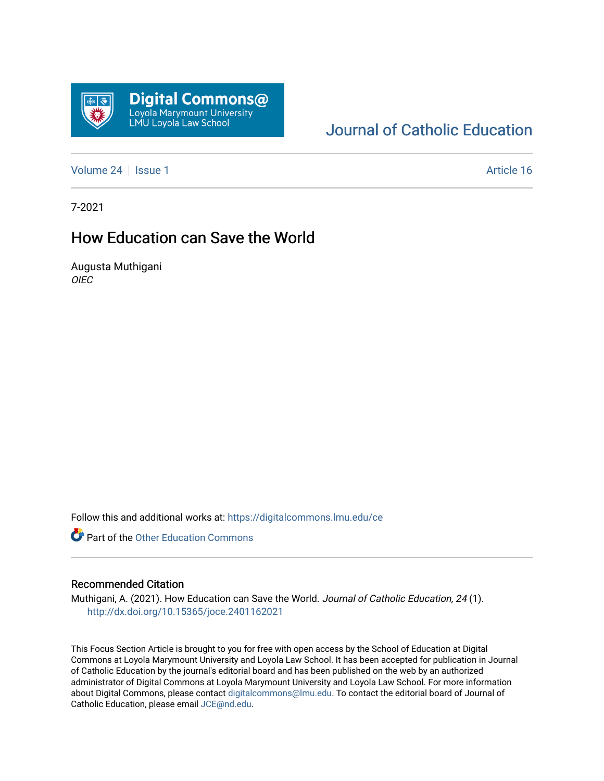

# [Journal of Catholic Education](https://digitalcommons.lmu.edu/ce)

[Volume 24](https://digitalcommons.lmu.edu/ce/vol24) | [Issue 1](https://digitalcommons.lmu.edu/ce/vol24/iss1) Article 16

7-2021

# How Education can Save the World

Augusta Muthigani OIEC

Follow this and additional works at: [https://digitalcommons.lmu.edu/ce](https://digitalcommons.lmu.edu/ce?utm_source=digitalcommons.lmu.edu%2Fce%2Fvol24%2Fiss1%2F16&utm_medium=PDF&utm_campaign=PDFCoverPages)

**Part of the Other Education Commons** 

### Recommended Citation

Muthigani, A. (2021). How Education can Save the World. Journal of Catholic Education, 24 (1). <http://dx.doi.org/10.15365/joce.2401162021>

This Focus Section Article is brought to you for free with open access by the School of Education at Digital Commons at Loyola Marymount University and Loyola Law School. It has been accepted for publication in Journal of Catholic Education by the journal's editorial board and has been published on the web by an authorized administrator of Digital Commons at Loyola Marymount University and Loyola Law School. For more information about Digital Commons, please contact [digitalcommons@lmu.edu](mailto:digitalcommons@lmu.edu). To contact the editorial board of Journal of Catholic Education, please email [JCE@nd.edu.](mailto:JCE@nd.edu)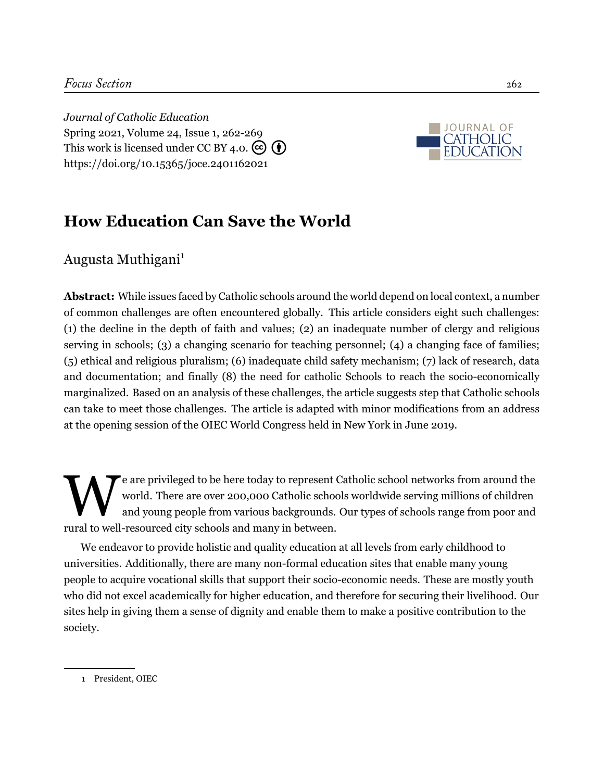*Journal of Catholic Education* Spring 2021, Volume 24, Issue 1, 262-[269](#page-8-0) This work is licensed under CC BY 4.0.  $\left(\overline{\mathbf{e}}\right)$ <https://doi.org/10.15365/joce.2401162021>



# **How Education Can Save the World**

Augusta Muthigani<sup>1</sup>

**Abstract:** While issues faced by Catholic schools around the world depend on local context, a number of common challenges are often encountered globally. This article considers eight such challenges: (1) the decline in the depth of faith and values; (2) an inadequate number of clergy and religious serving in schools; (3) a changing scenario for teaching personnel; (4) a changing face of families; (5) ethical and religious pluralism; (6) inadequate child safety mechanism; (7) lack of research, data and documentation; and finally (8) the need for catholic Schools to reach the socio-economically marginalized. Based on an analysis of these challenges, the article suggests step that Catholic schools can take to meet those challenges. The article is adapted with minor modifications from an address at the opening session of the OIEC World Congress held in New York in June 2019.

W<sub>ww</sub> e are privileged to be here today to represent Catholic school networks from around the world. There are over 200,000 Catholic schools worldwide serving millions of children and young people from various backgrounds. Our types of schools range from poor and rural to well-resourced city schools and many in between.

We endeavor to provide holistic and quality education at all levels from early childhood to universities. Additionally, there are many non-formal education sites that enable many young people to acquire vocational skills that support their socio-economic needs. These are mostly youth who did not excel academically for higher education, and therefore for securing their livelihood. Our sites help in giving them a sense of dignity and enable them to make a positive contribution to the society.

<sup>1</sup> President, OIEC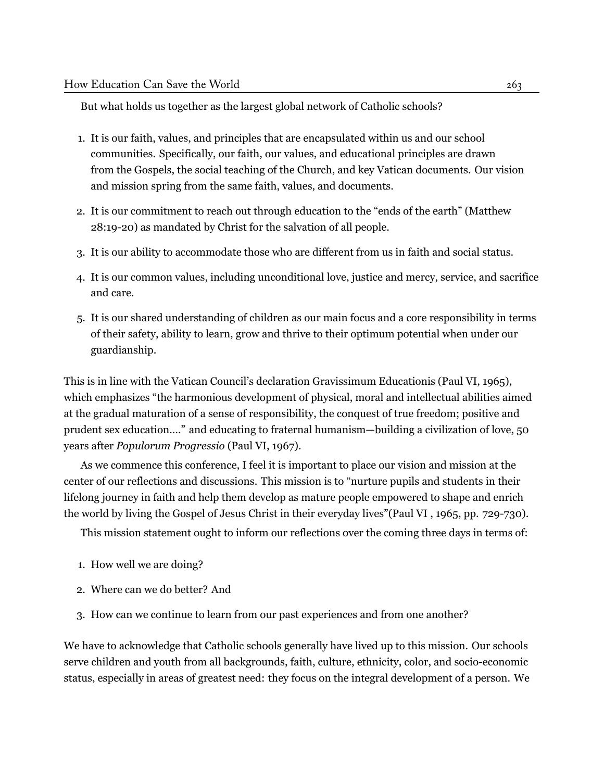## But what holds us together as the largest global network of Catholic schools?

- 1. It is our faith, values, and principles that are encapsulated within us and our school communities. Specifically, our faith, our values, and educational principles are drawn from the Gospels, the social teaching of the Church, and key Vatican documents. Our vision and mission spring from the same faith, values, and documents.
- 2. It is our commitment to reach out through education to the "ends of the earth" (Matthew 28:19-20) as mandated by Christ for the salvation of all people.
- 3. It is our ability to accommodate those who are different from us in faith and social status.
- 4. It is our common values, including unconditional love, justice and mercy, service, and sacrifice and care.
- 5. It is our shared understanding of children as our main focus and a core responsibility in terms of their safety, ability to learn, grow and thrive to their optimum potential when under our guardianship.

This is in line with the Vatican Council's declaration Gravissimum Educationis (Paul VI, 1965), which emphasizes "the harmonious development of physical, moral and intellectual abilities aimed at the gradual maturation of a sense of responsibility, the conquest of true freedom; positive and prudent sex education…." and educating to fraternal humanism—building a civilization of love, 50 years after *Populorum Progressio* ([Paul VI](#page-8-1), [1967\)](#page-8-1).

As we commence this conference, I feel it is important to place our vision and mission at the center of our reflections and discussions. This mission is to "nurture pupils and students in their lifelong journey in faith and help them develop as mature people empowered to shape and enrich the world by living the Gospel of Jesus Christ in their everyday lives"([Paul VI](#page-8-2) , 1965, pp. 729-730).

This mission statement ought to inform our reflections over the coming three days in terms of:

- 1. How well we are doing?
- 2. Where can we do better? And
- 3. How can we continue to learn from our past experiences and from one another?

We have to acknowledge that Catholic schools generally have lived up to this mission. Our schools serve children and youth from all backgrounds, faith, culture, ethnicity, color, and socio-economic status, especially in areas of greatest need: they focus on the integral development of a person. We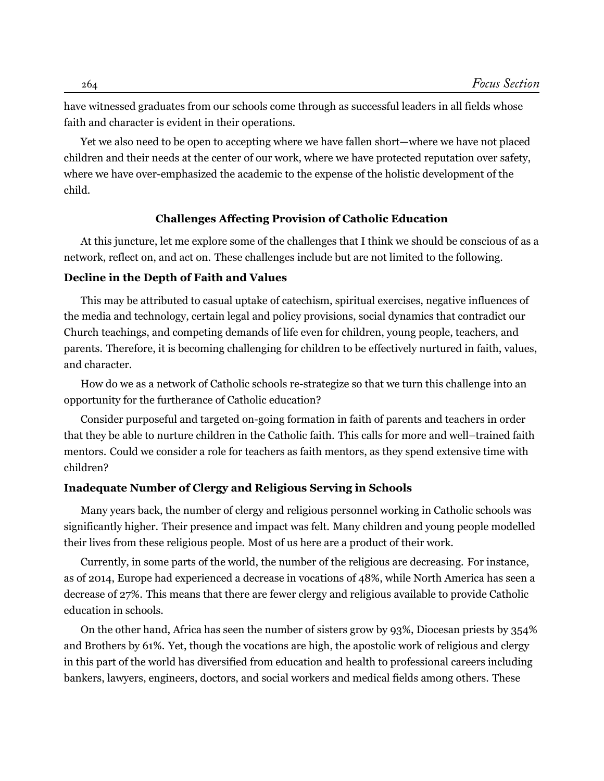have witnessed graduates from our schools come through as successful leaders in all fields whose faith and character is evident in their operations.

Yet we also need to be open to accepting where we have fallen short—where we have not placed children and their needs at the center of our work, where we have protected reputation over safety, where we have over-emphasized the academic to the expense of the holistic development of the child.

## **Challenges Affecting Provision of Catholic Education**

At this juncture, let me explore some of the challenges that I think we should be conscious of as a network, reflect on, and act on. These challenges include but are not limited to the following.

#### **Decline in the Depth of Faith and Values**

This may be attributed to casual uptake of catechism, spiritual exercises, negative influences of the media and technology, certain legal and policy provisions, social dynamics that contradict our Church teachings, and competing demands of life even for children, young people, teachers, and parents. Therefore, it is becoming challenging for children to be effectively nurtured in faith, values, and character.

How do we as a network of Catholic schools re-strategize so that we turn this challenge into an opportunity for the furtherance of Catholic education?

Consider purposeful and targeted on-going formation in faith of parents and teachers in order that they be able to nurture children in the Catholic faith. This calls for more and well–trained faith mentors. Could we consider a role for teachers as faith mentors, as they spend extensive time with children?

## **Inadequate Number of Clergy and Religious Serving in Schools**

Many years back, the number of clergy and religious personnel working in Catholic schools was significantly higher. Their presence and impact was felt. Many children and young people modelled their lives from these religious people. Most of us here are a product of their work.

Currently, in some parts of the world, the number of the religious are decreasing. For instance, as of 2014, Europe had experienced a decrease in vocations of 48%, while North America has seen a decrease of 27%. This means that there are fewer clergy and religious available to provide Catholic education in schools.

On the other hand, Africa has seen the number of sisters grow by 93%, Diocesan priests by 354% and Brothers by 61%. Yet, though the vocations are high, the apostolic work of religious and clergy in this part of the world has diversified from education and health to professional careers including bankers, lawyers, engineers, doctors, and social workers and medical fields among others. These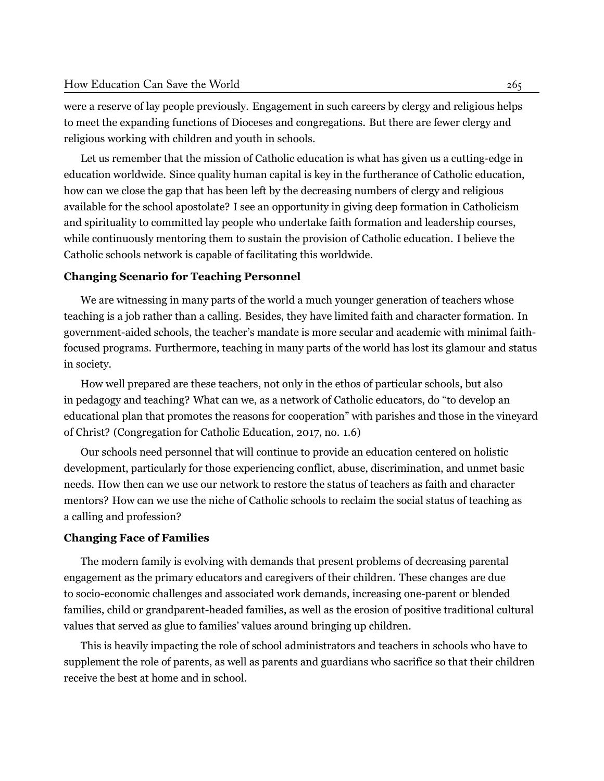were a reserve of lay people previously. Engagement in such careers by clergy and religious helps to meet the expanding functions of Dioceses and congregations. But there are fewer clergy and religious working with children and youth in schools.

Let us remember that the mission of Catholic education is what has given us a cutting-edge in education worldwide. Since quality human capital is key in the furtherance of Catholic education, how can we close the gap that has been left by the decreasing numbers of clergy and religious available for the school apostolate? I see an opportunity in giving deep formation in Catholicism and spirituality to committed lay people who undertake faith formation and leadership courses, while continuously mentoring them to sustain the provision of Catholic education. I believe the Catholic schools network is capable of facilitating this worldwide.

## **Changing Scenario for Teaching Personnel**

We are witnessing in many parts of the world a much younger generation of teachers whose teaching is a job rather than a calling. Besides, they have limited faith and character formation. In government-aided schools, the teacher's mandate is more secular and academic with minimal faithfocused programs. Furthermore, teaching in many parts of the world has lost its glamour and status in society.

How well prepared are these teachers, not only in the ethos of particular schools, but also in pedagogy and teaching? What can we, as a network of Catholic educators, do "to develop an educational plan that promotes the reasons for cooperation" with parishes and those in the vineyard of Christ? (Congregation for Catholic Education, 2017, no. 1.6)

Our schools need personnel that will continue to provide an education centered on holistic development, particularly for those experiencing conflict, abuse, discrimination, and unmet basic needs. How then can we use our network to restore the status of teachers as faith and character mentors? How can we use the niche of Catholic schools to reclaim the social status of teaching as a calling and profession?

#### **Changing Face of Families**

The modern family is evolving with demands that present problems of decreasing parental engagement as the primary educators and caregivers of their children. These changes are due to socio-economic challenges and associated work demands, increasing one-parent or blended families, child or grandparent-headed families, as well as the erosion of positive traditional cultural values that served as glue to families' values around bringing up children.

This is heavily impacting the role of school administrators and teachers in schools who have to supplement the role of parents, as well as parents and guardians who sacrifice so that their children receive the best at home and in school.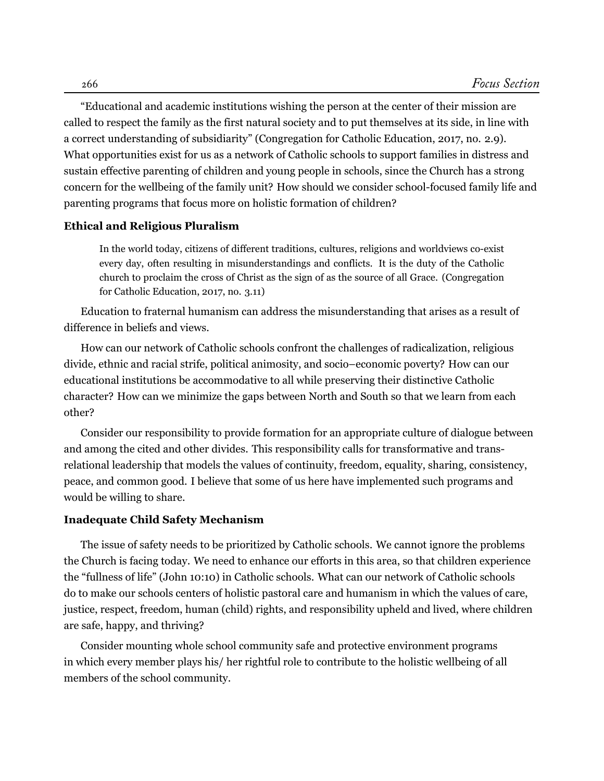"Educational and academic institutions wishing the person at the center of their mission are called to respect the family as the first natural society and to put themselves at its side, in line with a correct understanding of subsidiarity" (Congregation for Catholic Education, 2017, no. 2.9). What opportunities exist for us as a network of Catholic schools to support families in distress and sustain effective parenting of children and young people in schools, since the Church has a strong concern for the wellbeing of the family unit? How should we consider school-focused family life and parenting programs that focus more on holistic formation of children?

#### **Ethical and Religious Pluralism**

In the world today, citizens of different traditions, cultures, religions and worldviews co-exist every day, often resulting in misunderstandings and conflicts. It is the duty of the Catholic church to proclaim the cross of Christ as the sign of as the source of all Grace. ([Congregation](#page-8-3) [for Catholic Education,](#page-8-3) 2017, no. 3.11)

Education to fraternal humanism can address the misunderstanding that arises as a result of difference in beliefs and views.

How can our network of Catholic schools confront the challenges of radicalization, religious divide, ethnic and racial strife, political animosity, and socio–economic poverty? How can our educational institutions be accommodative to all while preserving their distinctive Catholic character? How can we minimize the gaps between North and South so that we learn from each other?

Consider our responsibility to provide formation for an appropriate culture of dialogue between and among the cited and other divides. This responsibility calls for transformative and transrelational leadership that models the values of continuity, freedom, equality, sharing, consistency, peace, and common good. I believe that some of us here have implemented such programs and would be willing to share.

#### **Inadequate Child Safety Mechanism**

The issue of safety needs to be prioritized by Catholic schools. We cannot ignore the problems the Church is facing today. We need to enhance our efforts in this area, so that children experience the "fullness of life" (John 10:10) in Catholic schools. What can our network of Catholic schools do to make our schools centers of holistic pastoral care and humanism in which the values of care, justice, respect, freedom, human (child) rights, and responsibility upheld and lived, where children are safe, happy, and thriving?

Consider mounting whole school community safe and protective environment programs in which every member plays his/ her rightful role to contribute to the holistic wellbeing of all members of the school community.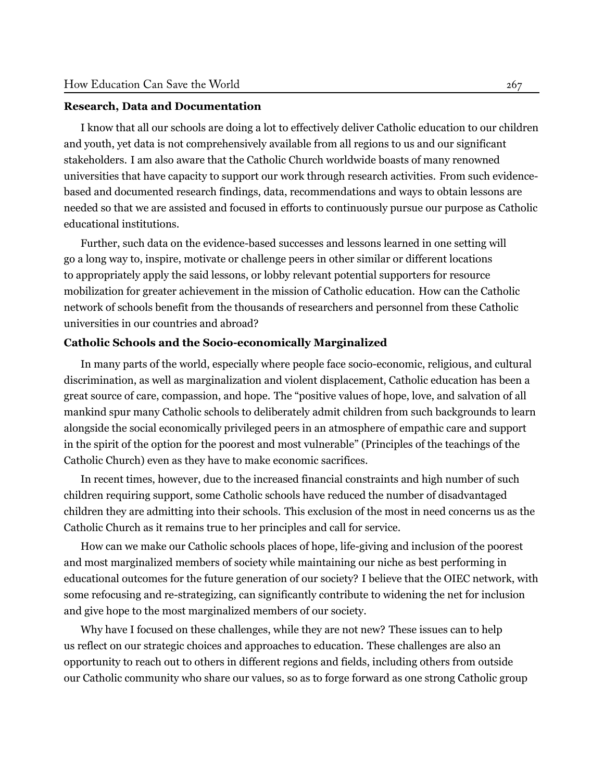#### **Research, Data and Documentation**

I know that all our schools are doing a lot to effectively deliver Catholic education to our children and youth, yet data is not comprehensively available from all regions to us and our significant stakeholders. I am also aware that the Catholic Church worldwide boasts of many renowned universities that have capacity to support our work through research activities. From such evidencebased and documented research findings, data, recommendations and ways to obtain lessons are needed so that we are assisted and focused in efforts to continuously pursue our purpose as Catholic educational institutions.

Further, such data on the evidence-based successes and lessons learned in one setting will go a long way to, inspire, motivate or challenge peers in other similar or different locations to appropriately apply the said lessons, or lobby relevant potential supporters for resource mobilization for greater achievement in the mission of Catholic education. How can the Catholic network of schools benefit from the thousands of researchers and personnel from these Catholic universities in our countries and abroad?

## **Catholic Schools and the Socio-economically Marginalized**

In many parts of the world, especially where people face socio-economic, religious, and cultural discrimination, as well as marginalization and violent displacement, Catholic education has been a great source of care, compassion, and hope. The "positive values of hope, love, and salvation of all mankind spur many Catholic schools to deliberately admit children from such backgrounds to learn alongside the social economically privileged peers in an atmosphere of empathic care and support in the spirit of the option for the poorest and most vulnerable" (Principles of the teachings of the Catholic Church) even as they have to make economic sacrifices.

In recent times, however, due to the increased financial constraints and high number of such children requiring support, some Catholic schools have reduced the number of disadvantaged children they are admitting into their schools. This exclusion of the most in need concerns us as the Catholic Church as it remains true to her principles and call for service.

How can we make our Catholic schools places of hope, life-giving and inclusion of the poorest and most marginalized members of society while maintaining our niche as best performing in educational outcomes for the future generation of our society? I believe that the OIEC network, with some refocusing and re-strategizing, can significantly contribute to widening the net for inclusion and give hope to the most marginalized members of our society.

Why have I focused on these challenges, while they are not new? These issues can to help us reflect on our strategic choices and approaches to education. These challenges are also an opportunity to reach out to others in different regions and fields, including others from outside our Catholic community who share our values, so as to forge forward as one strong Catholic group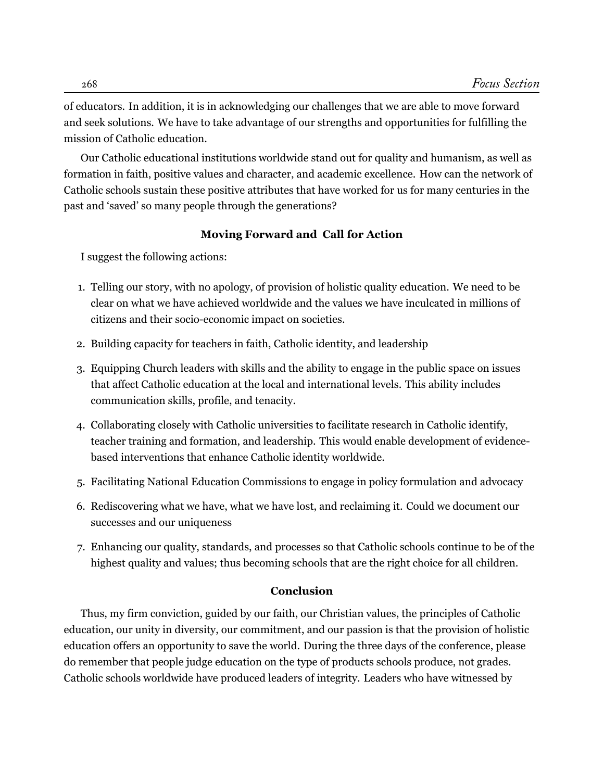of educators. In addition, it is in acknowledging our challenges that we are able to move forward and seek solutions. We have to take advantage of our strengths and opportunities for fulfilling the mission of Catholic education.

Our Catholic educational institutions worldwide stand out for quality and humanism, as well as formation in faith, positive values and character, and academic excellence. How can the network of Catholic schools sustain these positive attributes that have worked for us for many centuries in the past and 'saved' so many people through the generations?

## **Moving Forward and Call for Action**

I suggest the following actions:

- 1. Telling our story, with no apology, of provision of holistic quality education. We need to be clear on what we have achieved worldwide and the values we have inculcated in millions of citizens and their socio-economic impact on societies.
- 2. Building capacity for teachers in faith, Catholic identity, and leadership
- 3. Equipping Church leaders with skills and the ability to engage in the public space on issues that affect Catholic education at the local and international levels. This ability includes communication skills, profile, and tenacity.
- 4. Collaborating closely with Catholic universities to facilitate research in Catholic identify, teacher training and formation, and leadership. This would enable development of evidencebased interventions that enhance Catholic identity worldwide.
- 5. Facilitating National Education Commissions to engage in policy formulation and advocacy
- 6. Rediscovering what we have, what we have lost, and reclaiming it. Could we document our successes and our uniqueness
- 7. Enhancing our quality, standards, and processes so that Catholic schools continue to be of the highest quality and values; thus becoming schools that are the right choice for all children.

## **Conclusion**

Thus, my firm conviction, guided by our faith, our Christian values, the principles of Catholic education, our unity in diversity, our commitment, and our passion is that the provision of holistic education offers an opportunity to save the world. During the three days of the conference, please do remember that people judge education on the type of products schools produce, not grades. Catholic schools worldwide have produced leaders of integrity. Leaders who have witnessed by